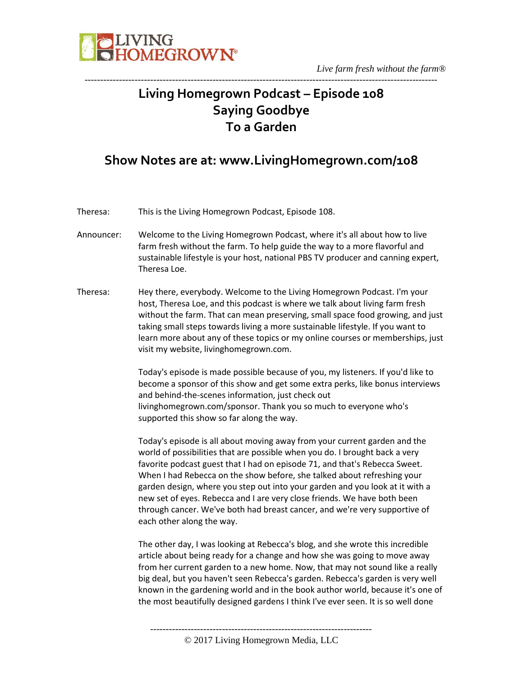

### **Living Homegrown Podcast – Episode 108 Saying Goodbye To a Garden**

-----------------------------------------------------------------------------------------------------------------

### **Show Notes are at: www.LivingHomegrown.com/108**

Theresa: This is the Living Homegrown Podcast, Episode 108.

- Announcer: Welcome to the Living Homegrown Podcast, where it's all about how to live farm fresh without the farm. To help guide the way to a more flavorful and sustainable lifestyle is your host, national PBS TV producer and canning expert, Theresa Loe.
- Theresa: Hey there, everybody. Welcome to the Living Homegrown Podcast. I'm your host, Theresa Loe, and this podcast is where we talk about living farm fresh without the farm. That can mean preserving, small space food growing, and just taking small steps towards living a more sustainable lifestyle. If you want to learn more about any of these topics or my online courses or memberships, just visit my website, livinghomegrown.com.

Today's episode is made possible because of you, my listeners. If you'd like to become a sponsor of this show and get some extra perks, like bonus interviews and behind-the-scenes information, just check out livinghomegrown.com/sponsor. Thank you so much to everyone who's supported this show so far along the way.

Today's episode is all about moving away from your current garden and the world of possibilities that are possible when you do. I brought back a very favorite podcast guest that I had on episode 71, and that's Rebecca Sweet. When I had Rebecca on the show before, she talked about refreshing your garden design, where you step out into your garden and you look at it with a new set of eyes. Rebecca and I are very close friends. We have both been through cancer. We've both had breast cancer, and we're very supportive of each other along the way.

The other day, I was looking at Rebecca's blog, and she wrote this incredible article about being ready for a change and how she was going to move away from her current garden to a new home. Now, that may not sound like a really big deal, but you haven't seen Rebecca's garden. Rebecca's garden is very well known in the gardening world and in the book author world, because it's one of the most beautifully designed gardens I think I've ever seen. It is so well done

----------------------------------------------------------------------- © 2017 Living Homegrown Media, LLC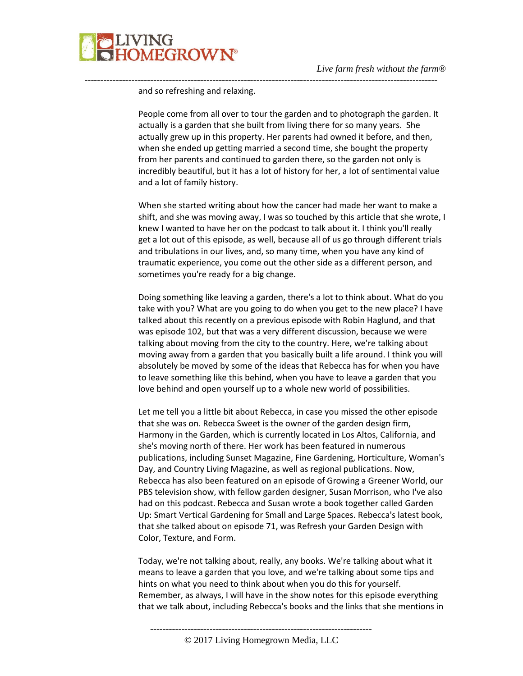

and so refreshing and relaxing.

People come from all over to tour the garden and to photograph the garden. It actually is a garden that she built from living there for so many years. She actually grew up in this property. Her parents had owned it before, and then, when she ended up getting married a second time, she bought the property from her parents and continued to garden there, so the garden not only is incredibly beautiful, but it has a lot of history for her, a lot of sentimental value and a lot of family history.

-----------------------------------------------------------------------------------------------------------------

When she started writing about how the cancer had made her want to make a shift, and she was moving away, I was so touched by this article that she wrote, I knew I wanted to have her on the podcast to talk about it. I think you'll really get a lot out of this episode, as well, because all of us go through different trials and tribulations in our lives, and, so many time, when you have any kind of traumatic experience, you come out the other side as a different person, and sometimes you're ready for a big change.

Doing something like leaving a garden, there's a lot to think about. What do you take with you? What are you going to do when you get to the new place? I have talked about this recently on a previous episode with Robin Haglund, and that was episode 102, but that was a very different discussion, because we were talking about moving from the city to the country. Here, we're talking about moving away from a garden that you basically built a life around. I think you will absolutely be moved by some of the ideas that Rebecca has for when you have to leave something like this behind, when you have to leave a garden that you love behind and open yourself up to a whole new world of possibilities.

Let me tell you a little bit about Rebecca, in case you missed the other episode that she was on. Rebecca Sweet is the owner of the garden design firm, Harmony in the Garden, which is currently located in Los Altos, California, and she's moving north of there. Her work has been featured in numerous publications, including Sunset Magazine, Fine Gardening, Horticulture, Woman's Day, and Country Living Magazine, as well as regional publications. Now, Rebecca has also been featured on an episode of Growing a Greener World, our PBS television show, with fellow garden designer, Susan Morrison, who I've also had on this podcast. Rebecca and Susan wrote a book together called Garden Up: Smart Vertical Gardening for Small and Large Spaces. Rebecca's latest book, that she talked about on episode 71, was Refresh your Garden Design with Color, Texture, and Form.

Today, we're not talking about, really, any books. We're talking about what it means to leave a garden that you love, and we're talking about some tips and hints on what you need to think about when you do this for yourself. Remember, as always, I will have in the show notes for this episode everything that we talk about, including Rebecca's books and the links that she mentions in

-----------------------------------------------------------------------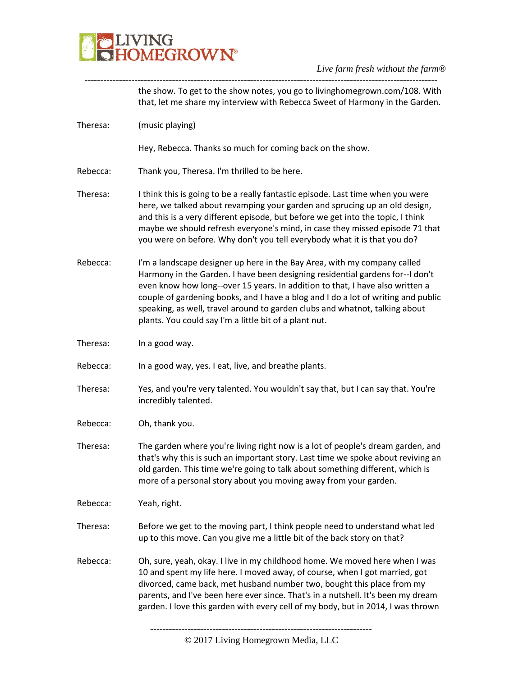### **PLIVING**<br>CHOMEGROWN®

#### *Live farm fresh without the farm®* -----------------------------------------------------------------------------------------------------------------

|          | the show. To get to the show notes, you go to livinghomegrown.com/108. With<br>that, let me share my interview with Rebecca Sweet of Harmony in the Garden.                                                                                                                                                                                                                                                                                                              |
|----------|--------------------------------------------------------------------------------------------------------------------------------------------------------------------------------------------------------------------------------------------------------------------------------------------------------------------------------------------------------------------------------------------------------------------------------------------------------------------------|
| Theresa: | (music playing)                                                                                                                                                                                                                                                                                                                                                                                                                                                          |
|          | Hey, Rebecca. Thanks so much for coming back on the show.                                                                                                                                                                                                                                                                                                                                                                                                                |
| Rebecca: | Thank you, Theresa. I'm thrilled to be here.                                                                                                                                                                                                                                                                                                                                                                                                                             |
| Theresa: | I think this is going to be a really fantastic episode. Last time when you were<br>here, we talked about revamping your garden and sprucing up an old design,<br>and this is a very different episode, but before we get into the topic, I think<br>maybe we should refresh everyone's mind, in case they missed episode 71 that<br>you were on before. Why don't you tell everybody what it is that you do?                                                             |
| Rebecca: | I'm a landscape designer up here in the Bay Area, with my company called<br>Harmony in the Garden. I have been designing residential gardens for--I don't<br>even know how long--over 15 years. In addition to that, I have also written a<br>couple of gardening books, and I have a blog and I do a lot of writing and public<br>speaking, as well, travel around to garden clubs and whatnot, talking about<br>plants. You could say I'm a little bit of a plant nut. |
| Theresa: | In a good way.                                                                                                                                                                                                                                                                                                                                                                                                                                                           |
| Rebecca: | In a good way, yes. I eat, live, and breathe plants.                                                                                                                                                                                                                                                                                                                                                                                                                     |
| Theresa: | Yes, and you're very talented. You wouldn't say that, but I can say that. You're<br>incredibly talented.                                                                                                                                                                                                                                                                                                                                                                 |
| Rebecca: | Oh, thank you.                                                                                                                                                                                                                                                                                                                                                                                                                                                           |
| Theresa: | The garden where you're living right now is a lot of people's dream garden, and<br>that's why this is such an important story. Last time we spoke about reviving an<br>old garden. This time we're going to talk about something different, which is<br>more of a personal story about you moving away from your garden.                                                                                                                                                 |
| Rebecca: | Yeah, right.                                                                                                                                                                                                                                                                                                                                                                                                                                                             |
| Theresa: | Before we get to the moving part, I think people need to understand what led<br>up to this move. Can you give me a little bit of the back story on that?                                                                                                                                                                                                                                                                                                                 |
| Rebecca: | Oh, sure, yeah, okay. I live in my childhood home. We moved here when I was<br>10 and spent my life here. I moved away, of course, when I got married, got<br>divorced, came back, met husband number two, bought this place from my<br>parents, and I've been here ever since. That's in a nutshell. It's been my dream<br>garden. I love this garden with every cell of my body, but in 2014, I was thrown                                                             |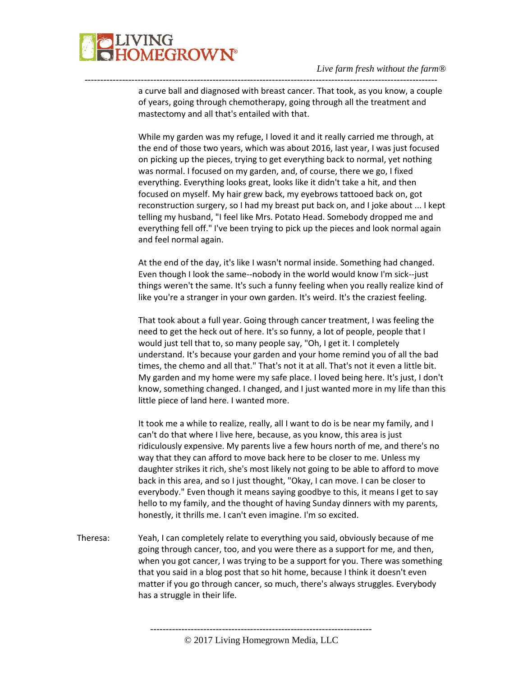

a curve ball and diagnosed with breast cancer. That took, as you know, a couple of years, going through chemotherapy, going through all the treatment and mastectomy and all that's entailed with that.

-----------------------------------------------------------------------------------------------------------------

While my garden was my refuge, I loved it and it really carried me through, at the end of those two years, which was about 2016, last year, I was just focused on picking up the pieces, trying to get everything back to normal, yet nothing was normal. I focused on my garden, and, of course, there we go, I fixed everything. Everything looks great, looks like it didn't take a hit, and then focused on myself. My hair grew back, my eyebrows tattooed back on, got reconstruction surgery, so I had my breast put back on, and I joke about ... I kept telling my husband, "I feel like Mrs. Potato Head. Somebody dropped me and everything fell off." I've been trying to pick up the pieces and look normal again and feel normal again.

At the end of the day, it's like I wasn't normal inside. Something had changed. Even though I look the same--nobody in the world would know I'm sick--just things weren't the same. It's such a funny feeling when you really realize kind of like you're a stranger in your own garden. It's weird. It's the craziest feeling.

That took about a full year. Going through cancer treatment, I was feeling the need to get the heck out of here. It's so funny, a lot of people, people that I would just tell that to, so many people say, "Oh, I get it. I completely understand. It's because your garden and your home remind you of all the bad times, the chemo and all that." That's not it at all. That's not it even a little bit. My garden and my home were my safe place. I loved being here. It's just, I don't know, something changed. I changed, and I just wanted more in my life than this little piece of land here. I wanted more.

It took me a while to realize, really, all I want to do is be near my family, and I can't do that where I live here, because, as you know, this area is just ridiculously expensive. My parents live a few hours north of me, and there's no way that they can afford to move back here to be closer to me. Unless my daughter strikes it rich, she's most likely not going to be able to afford to move back in this area, and so I just thought, "Okay, I can move. I can be closer to everybody." Even though it means saying goodbye to this, it means I get to say hello to my family, and the thought of having Sunday dinners with my parents, honestly, it thrills me. I can't even imagine. I'm so excited.

Theresa: Yeah, I can completely relate to everything you said, obviously because of me going through cancer, too, and you were there as a support for me, and then, when you got cancer, I was trying to be a support for you. There was something that you said in a blog post that so hit home, because I think it doesn't even matter if you go through cancer, so much, there's always struggles. Everybody has a struggle in their life.

<sup>-----------------------------------------------------------------------</sup> © 2017 Living Homegrown Media, LLC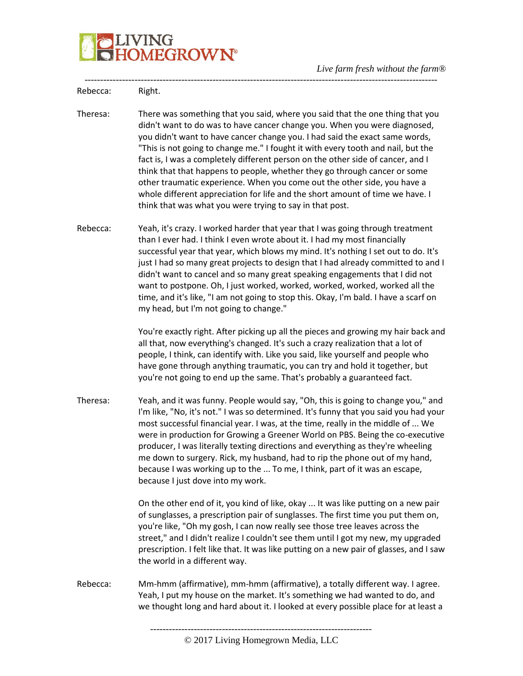

| Rebecca: | Right.                                                                                                                                                                                                                                                                                                                                                                                                                                                                                                                                                                                                                                                                                                                 |
|----------|------------------------------------------------------------------------------------------------------------------------------------------------------------------------------------------------------------------------------------------------------------------------------------------------------------------------------------------------------------------------------------------------------------------------------------------------------------------------------------------------------------------------------------------------------------------------------------------------------------------------------------------------------------------------------------------------------------------------|
| Theresa: | There was something that you said, where you said that the one thing that you<br>didn't want to do was to have cancer change you. When you were diagnosed,<br>you didn't want to have cancer change you. I had said the exact same words,<br>"This is not going to change me." I fought it with every tooth and nail, but the<br>fact is, I was a completely different person on the other side of cancer, and I<br>think that that happens to people, whether they go through cancer or some<br>other traumatic experience. When you come out the other side, you have a<br>whole different appreciation for life and the short amount of time we have. I<br>think that was what you were trying to say in that post. |
| Rebecca: | Yeah, it's crazy. I worked harder that year that I was going through treatment<br>than I ever had. I think I even wrote about it. I had my most financially<br>successful year that year, which blows my mind. It's nothing I set out to do. It's<br>just I had so many great projects to design that I had already committed to and I<br>didn't want to cancel and so many great speaking engagements that I did not<br>want to postpone. Oh, I just worked, worked, worked, worked, worked all the<br>time, and it's like, "I am not going to stop this. Okay, I'm bald. I have a scarf on<br>my head, but I'm not going to change."                                                                                 |
|          | You're exactly right. After picking up all the pieces and growing my hair back and<br>all that, now everything's changed. It's such a crazy realization that a lot of<br>people, I think, can identify with. Like you said, like yourself and people who<br>have gone through anything traumatic, you can try and hold it together, but<br>you're not going to end up the same. That's probably a guaranteed fact.                                                                                                                                                                                                                                                                                                     |
| Theresa: | Yeah, and it was funny. People would say, "Oh, this is going to change you," and<br>I'm like, "No, it's not." I was so determined. It's funny that you said you had your<br>most successful financial year. I was, at the time, really in the middle of  We<br>were in production for Growing a Greener World on PBS. Being the co-executive<br>producer, I was literally texting directions and everything as they're wheeling<br>me down to surgery. Rick, my husband, had to rip the phone out of my hand,<br>because I was working up to the  To me, I think, part of it was an escape,<br>because I just dove into my work.                                                                                       |
|          | On the other end of it, you kind of like, okay  It was like putting on a new pair<br>of sunglasses, a prescription pair of sunglasses. The first time you put them on,<br>you're like, "Oh my gosh, I can now really see those tree leaves across the<br>street," and I didn't realize I couldn't see them until I got my new, my upgraded<br>prescription. I felt like that. It was like putting on a new pair of glasses, and I saw<br>the world in a different way.                                                                                                                                                                                                                                                 |
| Rebecca: | Mm-hmm (affirmative), mm-hmm (affirmative), a totally different way. I agree.<br>Yeah, I put my house on the market. It's something we had wanted to do, and<br>we thought long and hard about it. I looked at every possible place for at least a                                                                                                                                                                                                                                                                                                                                                                                                                                                                     |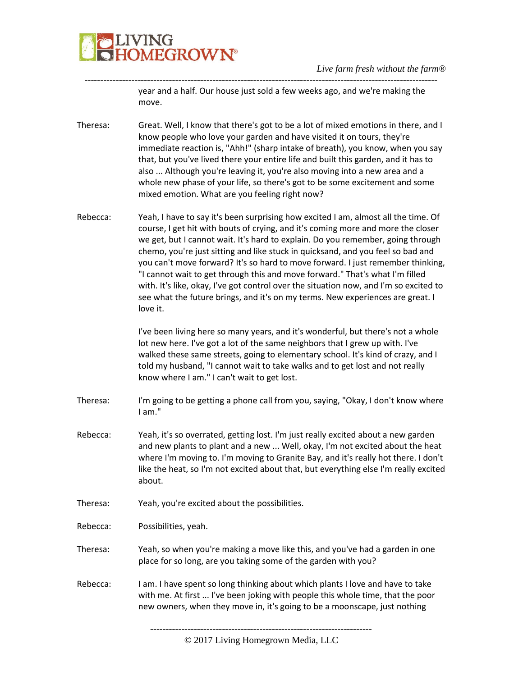

year and a half. Our house just sold a few weeks ago, and we're making the move.

Theresa: Great. Well, I know that there's got to be a lot of mixed emotions in there, and I know people who love your garden and have visited it on tours, they're immediate reaction is, "Ahh!" (sharp intake of breath), you know, when you say that, but you've lived there your entire life and built this garden, and it has to also ... Although you're leaving it, you're also moving into a new area and a whole new phase of your life, so there's got to be some excitement and some mixed emotion. What are you feeling right now?

-----------------------------------------------------------------------------------------------------------------

Rebecca: Yeah, I have to say it's been surprising how excited I am, almost all the time. Of course, I get hit with bouts of crying, and it's coming more and more the closer we get, but I cannot wait. It's hard to explain. Do you remember, going through chemo, you're just sitting and like stuck in quicksand, and you feel so bad and you can't move forward? It's so hard to move forward. I just remember thinking, "I cannot wait to get through this and move forward." That's what I'm filled with. It's like, okay, I've got control over the situation now, and I'm so excited to see what the future brings, and it's on my terms. New experiences are great. I love it.

> I've been living here so many years, and it's wonderful, but there's not a whole lot new here. I've got a lot of the same neighbors that I grew up with. I've walked these same streets, going to elementary school. It's kind of crazy, and I told my husband, "I cannot wait to take walks and to get lost and not really know where I am." I can't wait to get lost.

- Theresa: I'm going to be getting a phone call from you, saying, "Okay, I don't know where I am."
- Rebecca: Yeah, it's so overrated, getting lost. I'm just really excited about a new garden and new plants to plant and a new ... Well, okay, I'm not excited about the heat where I'm moving to. I'm moving to Granite Bay, and it's really hot there. I don't like the heat, so I'm not excited about that, but everything else I'm really excited about.
- Theresa: Yeah, you're excited about the possibilities.

Rebecca: Possibilities, yeah.

- Theresa: Yeah, so when you're making a move like this, and you've had a garden in one place for so long, are you taking some of the garden with you?
- Rebecca: I am. I have spent so long thinking about which plants I love and have to take with me. At first ... I've been joking with people this whole time, that the poor new owners, when they move in, it's going to be a moonscape, just nothing

-----------------------------------------------------------------------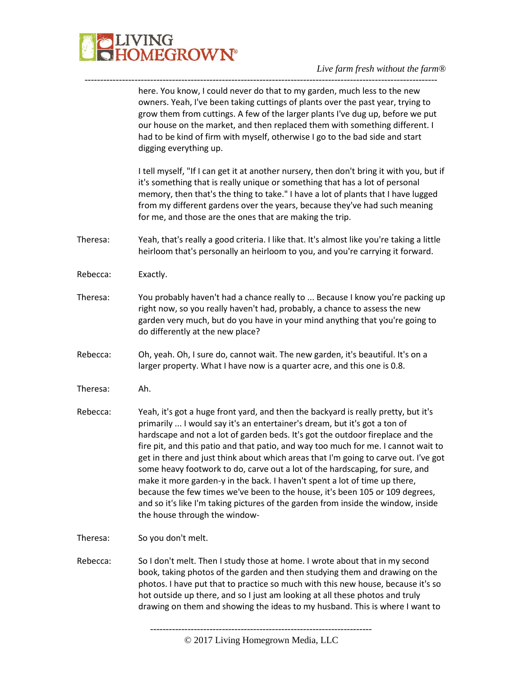

|          | here. You know, I could never do that to my garden, much less to the new<br>owners. Yeah, I've been taking cuttings of plants over the past year, trying to<br>grow them from cuttings. A few of the larger plants I've dug up, before we put<br>our house on the market, and then replaced them with something different. I<br>had to be kind of firm with myself, otherwise I go to the bad side and start<br>digging everything up.                                                                                                                                                                                                                                                                                                                                                             |
|----------|----------------------------------------------------------------------------------------------------------------------------------------------------------------------------------------------------------------------------------------------------------------------------------------------------------------------------------------------------------------------------------------------------------------------------------------------------------------------------------------------------------------------------------------------------------------------------------------------------------------------------------------------------------------------------------------------------------------------------------------------------------------------------------------------------|
|          | I tell myself, "If I can get it at another nursery, then don't bring it with you, but if<br>it's something that is really unique or something that has a lot of personal<br>memory, then that's the thing to take." I have a lot of plants that I have lugged<br>from my different gardens over the years, because they've had such meaning<br>for me, and those are the ones that are making the trip.                                                                                                                                                                                                                                                                                                                                                                                            |
| Theresa: | Yeah, that's really a good criteria. I like that. It's almost like you're taking a little<br>heirloom that's personally an heirloom to you, and you're carrying it forward.                                                                                                                                                                                                                                                                                                                                                                                                                                                                                                                                                                                                                        |
| Rebecca: | Exactly.                                                                                                                                                                                                                                                                                                                                                                                                                                                                                                                                                                                                                                                                                                                                                                                           |
| Theresa: | You probably haven't had a chance really to  Because I know you're packing up<br>right now, so you really haven't had, probably, a chance to assess the new<br>garden very much, but do you have in your mind anything that you're going to<br>do differently at the new place?                                                                                                                                                                                                                                                                                                                                                                                                                                                                                                                    |
| Rebecca: | Oh, yeah. Oh, I sure do, cannot wait. The new garden, it's beautiful. It's on a<br>larger property. What I have now is a quarter acre, and this one is 0.8.                                                                                                                                                                                                                                                                                                                                                                                                                                                                                                                                                                                                                                        |
| Theresa: | Ah.                                                                                                                                                                                                                                                                                                                                                                                                                                                                                                                                                                                                                                                                                                                                                                                                |
| Rebecca: | Yeah, it's got a huge front yard, and then the backyard is really pretty, but it's<br>primarily  I would say it's an entertainer's dream, but it's got a ton of<br>hardscape and not a lot of garden beds. It's got the outdoor fireplace and the<br>fire pit, and this patio and that patio, and way too much for me. I cannot wait to<br>get in there and just think about which areas that I'm going to carve out. I've got<br>some heavy footwork to do, carve out a lot of the hardscaping, for sure, and<br>make it more garden-y in the back. I haven't spent a lot of time up there,<br>because the few times we've been to the house, it's been 105 or 109 degrees,<br>and so it's like I'm taking pictures of the garden from inside the window, inside<br>the house through the window- |
| Theresa: | So you don't melt.                                                                                                                                                                                                                                                                                                                                                                                                                                                                                                                                                                                                                                                                                                                                                                                 |
| Rebecca: | So I don't melt. Then I study those at home. I wrote about that in my second<br>book, taking photos of the garden and then studying them and drawing on the<br>photos. I have put that to practice so much with this new house, because it's so<br>hot outside up there, and so I just am looking at all these photos and truly<br>drawing on them and showing the ideas to my husband. This is where I want to                                                                                                                                                                                                                                                                                                                                                                                    |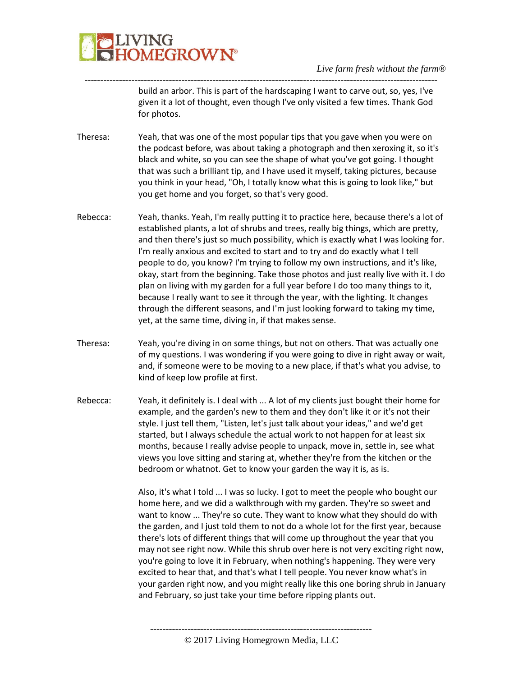

build an arbor. This is part of the hardscaping I want to carve out, so, yes, I've given it a lot of thought, even though I've only visited a few times. Thank God for photos.

Theresa: Yeah, that was one of the most popular tips that you gave when you were on the podcast before, was about taking a photograph and then xeroxing it, so it's black and white, so you can see the shape of what you've got going. I thought that was such a brilliant tip, and I have used it myself, taking pictures, because you think in your head, "Oh, I totally know what this is going to look like," but you get home and you forget, so that's very good.

-----------------------------------------------------------------------------------------------------------------

- Rebecca: Yeah, thanks. Yeah, I'm really putting it to practice here, because there's a lot of established plants, a lot of shrubs and trees, really big things, which are pretty, and then there's just so much possibility, which is exactly what I was looking for. I'm really anxious and excited to start and to try and do exactly what I tell people to do, you know? I'm trying to follow my own instructions, and it's like, okay, start from the beginning. Take those photos and just really live with it. I do plan on living with my garden for a full year before I do too many things to it, because I really want to see it through the year, with the lighting. It changes through the different seasons, and I'm just looking forward to taking my time, yet, at the same time, diving in, if that makes sense.
- Theresa: Yeah, you're diving in on some things, but not on others. That was actually one of my questions. I was wondering if you were going to dive in right away or wait, and, if someone were to be moving to a new place, if that's what you advise, to kind of keep low profile at first.
- Rebecca: Yeah, it definitely is. I deal with ... A lot of my clients just bought their home for example, and the garden's new to them and they don't like it or it's not their style. I just tell them, "Listen, let's just talk about your ideas," and we'd get started, but I always schedule the actual work to not happen for at least six months, because I really advise people to unpack, move in, settle in, see what views you love sitting and staring at, whether they're from the kitchen or the bedroom or whatnot. Get to know your garden the way it is, as is.

Also, it's what I told ... I was so lucky. I got to meet the people who bought our home here, and we did a walkthrough with my garden. They're so sweet and want to know ... They're so cute. They want to know what they should do with the garden, and I just told them to not do a whole lot for the first year, because there's lots of different things that will come up throughout the year that you may not see right now. While this shrub over here is not very exciting right now, you're going to love it in February, when nothing's happening. They were very excited to hear that, and that's what I tell people. You never know what's in your garden right now, and you might really like this one boring shrub in January and February, so just take your time before ripping plants out.

© 2017 Living Homegrown Media, LLC

-----------------------------------------------------------------------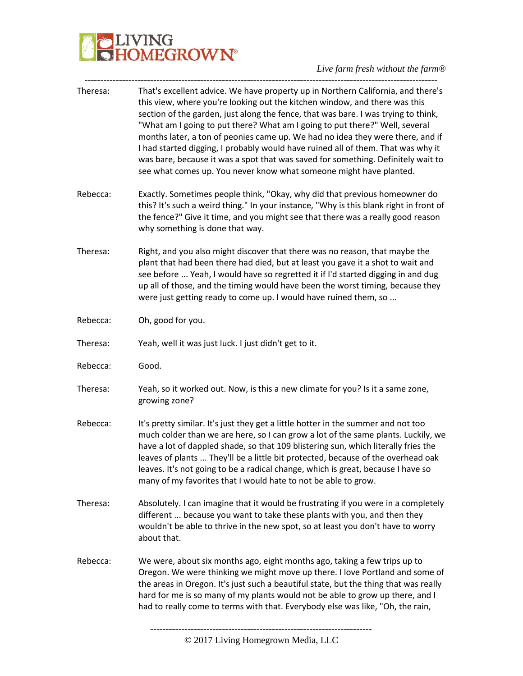## **BELIVING**<br>**BELIVING**<br> **BELIVING**

| Theresa: | That's excellent advice. We have property up in Northern California, and there's<br>this view, where you're looking out the kitchen window, and there was this<br>section of the garden, just along the fence, that was bare. I was trying to think,<br>"What am I going to put there? What am I going to put there?" Well, several<br>months later, a ton of peonies came up. We had no idea they were there, and if<br>I had started digging, I probably would have ruined all of them. That was why it<br>was bare, because it was a spot that was saved for something. Definitely wait to<br>see what comes up. You never know what someone might have planted. |
|----------|---------------------------------------------------------------------------------------------------------------------------------------------------------------------------------------------------------------------------------------------------------------------------------------------------------------------------------------------------------------------------------------------------------------------------------------------------------------------------------------------------------------------------------------------------------------------------------------------------------------------------------------------------------------------|
| Rebecca: | Exactly. Sometimes people think, "Okay, why did that previous homeowner do<br>this? It's such a weird thing." In your instance, "Why is this blank right in front of<br>the fence?" Give it time, and you might see that there was a really good reason<br>why something is done that way.                                                                                                                                                                                                                                                                                                                                                                          |
| Theresa: | Right, and you also might discover that there was no reason, that maybe the<br>plant that had been there had died, but at least you gave it a shot to wait and<br>see before  Yeah, I would have so regretted it if I'd started digging in and dug<br>up all of those, and the timing would have been the worst timing, because they<br>were just getting ready to come up. I would have ruined them, so                                                                                                                                                                                                                                                            |
| Rebecca: | Oh, good for you.                                                                                                                                                                                                                                                                                                                                                                                                                                                                                                                                                                                                                                                   |
| Theresa: | Yeah, well it was just luck. I just didn't get to it.                                                                                                                                                                                                                                                                                                                                                                                                                                                                                                                                                                                                               |
| Rebecca: | Good.                                                                                                                                                                                                                                                                                                                                                                                                                                                                                                                                                                                                                                                               |
| Theresa: | Yeah, so it worked out. Now, is this a new climate for you? Is it a same zone,<br>growing zone?                                                                                                                                                                                                                                                                                                                                                                                                                                                                                                                                                                     |
| Rebecca: | It's pretty similar. It's just they get a little hotter in the summer and not too<br>much colder than we are here, so I can grow a lot of the same plants. Luckily, we<br>have a lot of dappled shade, so that 109 blistering sun, which literally fries the<br>leaves of plants  They'll be a little bit protected, because of the overhead oak<br>leaves. It's not going to be a radical change, which is great, because I have so<br>many of my favorites that I would hate to not be able to grow.                                                                                                                                                              |
| Theresa: | Absolutely. I can imagine that it would be frustrating if you were in a completely<br>different  because you want to take these plants with you, and then they<br>wouldn't be able to thrive in the new spot, so at least you don't have to worry<br>about that.                                                                                                                                                                                                                                                                                                                                                                                                    |
| Rebecca: | We were, about six months ago, eight months ago, taking a few trips up to<br>Oregon. We were thinking we might move up there. I love Portland and some of<br>the areas in Oregon. It's just such a beautiful state, but the thing that was really<br>hard for me is so many of my plants would not be able to grow up there, and I<br>had to really come to terms with that. Everybody else was like, "Oh, the rain,                                                                                                                                                                                                                                                |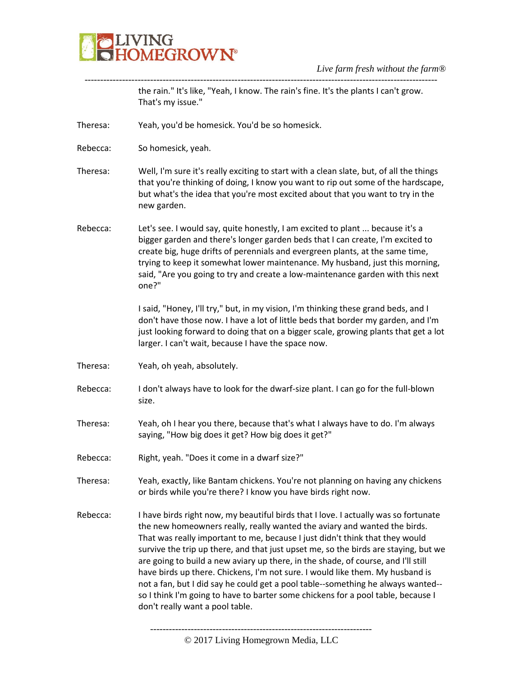

the rain." It's like, "Yeah, I know. The rain's fine. It's the plants I can't grow. That's my issue."

-----------------------------------------------------------------------------------------------------------------

Theresa: Yeah, you'd be homesick. You'd be so homesick.

Rebecca: So homesick, yeah.

- Theresa: Well, I'm sure it's really exciting to start with a clean slate, but, of all the things that you're thinking of doing, I know you want to rip out some of the hardscape, but what's the idea that you're most excited about that you want to try in the new garden.
- Rebecca: Let's see. I would say, quite honestly, I am excited to plant ... because it's a bigger garden and there's longer garden beds that I can create, I'm excited to create big, huge drifts of perennials and evergreen plants, at the same time, trying to keep it somewhat lower maintenance. My husband, just this morning, said, "Are you going to try and create a low-maintenance garden with this next one?"

I said, "Honey, I'll try," but, in my vision, I'm thinking these grand beds, and I don't have those now. I have a lot of little beds that border my garden, and I'm just looking forward to doing that on a bigger scale, growing plants that get a lot larger. I can't wait, because I have the space now.

- Theresa: Yeah, oh yeah, absolutely.
- Rebecca: I don't always have to look for the dwarf-size plant. I can go for the full-blown size.
- Theresa: Yeah, oh I hear you there, because that's what I always have to do. I'm always saying, "How big does it get? How big does it get?"
- Rebecca: Right, yeah. "Does it come in a dwarf size?"
- Theresa: Yeah, exactly, like Bantam chickens. You're not planning on having any chickens or birds while you're there? I know you have birds right now.
- Rebecca: I have birds right now, my beautiful birds that I love. I actually was so fortunate the new homeowners really, really wanted the aviary and wanted the birds. That was really important to me, because I just didn't think that they would survive the trip up there, and that just upset me, so the birds are staying, but we are going to build a new aviary up there, in the shade, of course, and I'll still have birds up there. Chickens, I'm not sure. I would like them. My husband is not a fan, but I did say he could get a pool table--something he always wanted- so I think I'm going to have to barter some chickens for a pool table, because I don't really want a pool table.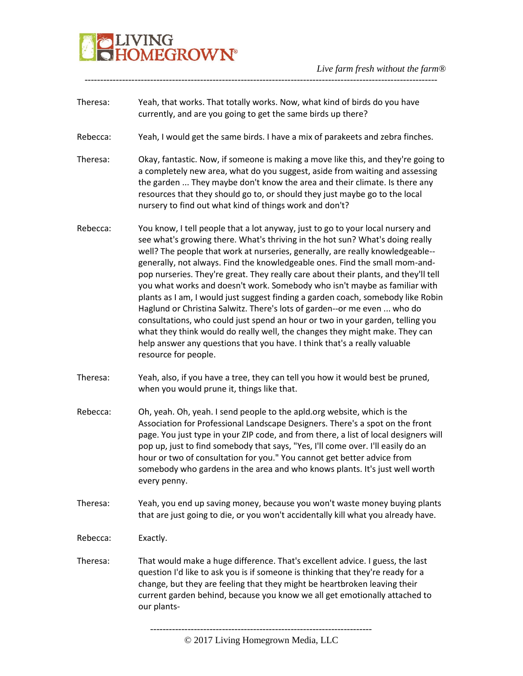# VING<br>DMEGROW**N°**

- Theresa: Yeah, that works. That totally works. Now, what kind of birds do you have currently, and are you going to get the same birds up there?
- Rebecca: Yeah, I would get the same birds. I have a mix of parakeets and zebra finches.

-----------------------------------------------------------------------------------------------------------------

- Theresa: Okay, fantastic. Now, if someone is making a move like this, and they're going to a completely new area, what do you suggest, aside from waiting and assessing the garden ... They maybe don't know the area and their climate. Is there any resources that they should go to, or should they just maybe go to the local nursery to find out what kind of things work and don't?
- Rebecca: You know, I tell people that a lot anyway, just to go to your local nursery and see what's growing there. What's thriving in the hot sun? What's doing really well? The people that work at nurseries, generally, are really knowledgeable- generally, not always. Find the knowledgeable ones. Find the small mom-andpop nurseries. They're great. They really care about their plants, and they'll tell you what works and doesn't work. Somebody who isn't maybe as familiar with plants as I am, I would just suggest finding a garden coach, somebody like Robin Haglund or Christina Salwitz. There's lots of garden--or me even ... who do consultations, who could just spend an hour or two in your garden, telling you what they think would do really well, the changes they might make. They can help answer any questions that you have. I think that's a really valuable resource for people.
- Theresa: Yeah, also, if you have a tree, they can tell you how it would best be pruned, when you would prune it, things like that.
- Rebecca: Oh, yeah. Oh, yeah. I send people to the apld.org website, which is the Association for Professional Landscape Designers. There's a spot on the front page. You just type in your ZIP code, and from there, a list of local designers will pop up, just to find somebody that says, "Yes, I'll come over. I'll easily do an hour or two of consultation for you." You cannot get better advice from somebody who gardens in the area and who knows plants. It's just well worth every penny.
- Theresa: Yeah, you end up saving money, because you won't waste money buying plants that are just going to die, or you won't accidentally kill what you already have.
- Rebecca: Exactly.
- Theresa: That would make a huge difference. That's excellent advice. I guess, the last question I'd like to ask you is if someone is thinking that they're ready for a change, but they are feeling that they might be heartbroken leaving their current garden behind, because you know we all get emotionally attached to our plants-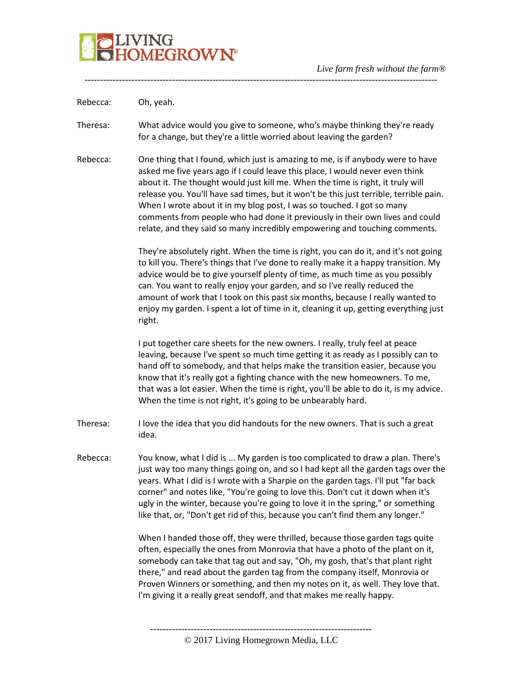

Rebecca: Oh, yeah.

Theresa: What advice would you give to someone, who's maybe thinking they're ready for a change, but they're a little worried about leaving the garden?

-----------------------------------------------------------------------------------------------------------------

Rebecca: One thing that I found, which just is amazing to me, is if anybody were to have asked me five years ago if I could leave this place, I would never even think about it. The thought would just kill me. When the time is right, it truly will release you. You'll have sad times, but it won't be this just terrible, terrible pain. When I wrote about it in my blog post, I was so touched. I got so many comments from people who had done it previously in their own lives and could relate, and they said so many incredibly empowering and touching comments.

> They're absolutely right. When the time is right, you can do it, and it's not going to kill you. There's things that I've done to really make it a happy transition. My advice would be to give yourself plenty of time, as much time as you possibly can. You want to really enjoy your garden, and so I've really reduced the amount of work that I took on this past six months, because I really wanted to enjoy my garden. I spent a lot of time in it, cleaning it up, getting everything just right.

> I put together care sheets for the new owners. I really, truly feel at peace leaving, because I've spent so much time getting it as ready as I possibly can to hand off to somebody, and that helps make the transition easier, because you know that it's really got a fighting chance with the new homeowners. To me, that was a lot easier. When the time is right, you'll be able to do it, is my advice. When the time is not right, it's going to be unbearably hard.

- Theresa: I love the idea that you did handouts for the new owners. That is such a great idea.
- Rebecca: You know, what I did is ... My garden is too complicated to draw a plan. There's just way too many things going on, and so I had kept all the garden tags over the years. What I did is I wrote with a Sharpie on the garden tags. I'll put "far back corner" and notes like, "You're going to love this. Don't cut it down when it's ugly in the winter, because you're going to love it in the spring," or something like that, or, "Don't get rid of this, because you can't find them any longer."

When I handed those off, they were thrilled, because those garden tags quite often, especially the ones from Monrovia that have a photo of the plant on it, somebody can take that tag out and say, "Oh, my gosh, that's that plant right there," and read about the garden tag from the company itself, Monrovia or Proven Winners or something, and then my notes on it, as well. They love that. I'm giving it a really great sendoff, and that makes me really happy.

----------------------------------------------------------------------- © 2017 Living Homegrown Media, LLC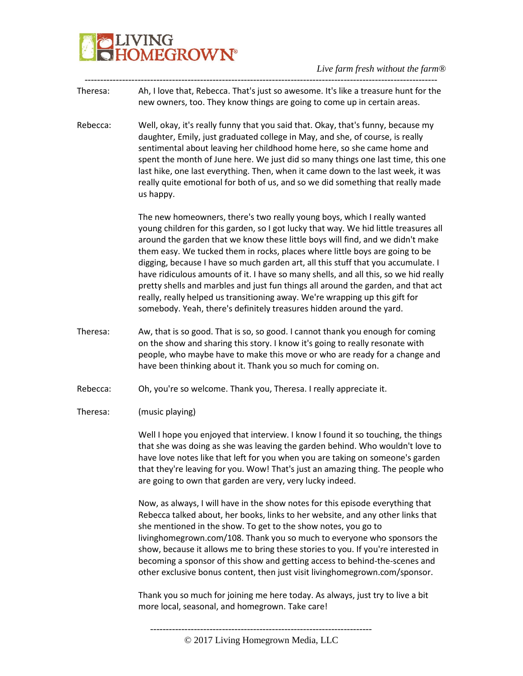

*Live farm fresh without the farm®*

Theresa: Ah, I love that, Rebecca. That's just so awesome. It's like a treasure hunt for the new owners, too. They know things are going to come up in certain areas.

-----------------------------------------------------------------------------------------------------------------

Rebecca: Well, okay, it's really funny that you said that. Okay, that's funny, because my daughter, Emily, just graduated college in May, and she, of course, is really sentimental about leaving her childhood home here, so she came home and spent the month of June here. We just did so many things one last time, this one last hike, one last everything. Then, when it came down to the last week, it was really quite emotional for both of us, and so we did something that really made us happy.

> The new homeowners, there's two really young boys, which I really wanted young children for this garden, so I got lucky that way. We hid little treasures all around the garden that we know these little boys will find, and we didn't make them easy. We tucked them in rocks, places where little boys are going to be digging, because I have so much garden art, all this stuff that you accumulate. I have ridiculous amounts of it. I have so many shells, and all this, so we hid really pretty shells and marbles and just fun things all around the garden, and that act really, really helped us transitioning away. We're wrapping up this gift for somebody. Yeah, there's definitely treasures hidden around the yard.

Theresa: Aw, that is so good. That is so, so good. I cannot thank you enough for coming on the show and sharing this story. I know it's going to really resonate with people, who maybe have to make this move or who are ready for a change and have been thinking about it. Thank you so much for coming on.

Rebecca: Oh, you're so welcome. Thank you, Theresa. I really appreciate it.

Theresa: (music playing)

Well I hope you enjoyed that interview. I know I found it so touching, the things that she was doing as she was leaving the garden behind. Who wouldn't love to have love notes like that left for you when you are taking on someone's garden that they're leaving for you. Wow! That's just an amazing thing. The people who are going to own that garden are very, very lucky indeed.

Now, as always, I will have in the show notes for this episode everything that Rebecca talked about, her books, links to her website, and any other links that she mentioned in the show. To get to the show notes, you go to livinghomegrown.com/108. Thank you so much to everyone who sponsors the show, because it allows me to bring these stories to you. If you're interested in becoming a sponsor of this show and getting access to behind-the-scenes and other exclusive bonus content, then just visit livinghomegrown.com/sponsor.

Thank you so much for joining me here today. As always, just try to live a bit more local, seasonal, and homegrown. Take care!

<sup>© 2017</sup> Living Homegrown Media, LLC